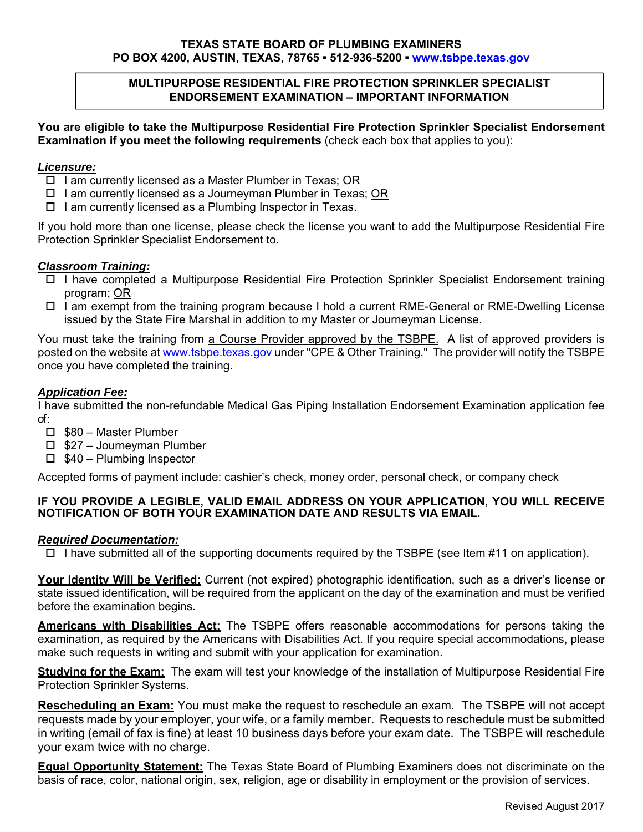#### **TEXAS STATE BOARD OF PLUMBING EXAMINERS PO BOX 4200, AUSTIN, TEXAS, 78765 ▪ 512-936-5200 ▪ www.tsbpe.texas.gov**

## **MULTIPURPOSE RESIDENTIAL FIRE PROTECTION SPRINKLER SPECIALIST ENDORSEMENT EXAMINATION – IMPORTANT INFORMATION**

**You are eligible to take the Multipurpose Residential Fire Protection Sprinkler Specialist Endorsement Examination if you meet the following requirements** (check each box that applies to you):

### *Licensure:*

- $\Box$  I am currently licensed as a Master Plumber in Texas; OR
- $\Box$  I am currently licensed as a Journeyman Plumber in Texas; OR
- $\Box$  I am currently licensed as a Plumbing Inspector in Texas.

If you hold more than one license, please check the license you want to add the Multipurpose Residential Fire Protection Sprinkler Specialist Endorsement to.

#### *Classroom Training:*

- I have completed a Multipurpose Residential Fire Protection Sprinkler Specialist Endorsement training program; OR
- □ I am exempt from the training program because I hold a current RME-General or RME-Dwelling License issued by the State Fire Marshal in addition to my Master or Journeyman License.

You must take the training from a Course Provider approved by the TSBPE. A list of approved providers is posted on the website at www.tsbpe.texas.gov under "CPE & Other Training." The provider will notify the TSBPE once you have completed the training.

## *Application Fee:*

I have submitted the non-refundable Medical Gas Piping Installation Endorsement Examination application fee of :

- □ \$80 Master Plumber
- $\Box$  \$27 Journeyman Plumber
- $\Box$  \$40 Plumbing Inspector

Accepted forms of payment include: cashier's check, money order, personal check, or company check

## **IF YOU PROVIDE A LEGIBLE, VALID EMAIL ADDRESS ON YOUR APPLICATION, YOU WILL RECEIVE NOTIFICATION OF BOTH YOUR EXAMINATION DATE AND RESULTS VIA EMAIL.**

#### *Required Documentation:*

 $\Box$  I have submitted all of the supporting documents required by the TSBPE (see Item #11 on application).

**Your Identity Will be Verified:** Current (not expired) photographic identification, such as a driver's license or state issued identification, will be required from the applicant on the day of the examination and must be verified before the examination begins.

**Americans with Disabilities Act:** The TSBPE offers reasonable accommodations for persons taking the examination, as required by the Americans with Disabilities Act. If you require special accommodations, please make such requests in writing and submit with your application for examination.

**Studying for the Exam:** The exam will test your knowledge of the installation of Multipurpose Residential Fire Protection Sprinkler Systems.

**Rescheduling an Exam:** You must make the request to reschedule an exam. The TSBPE will not accept requests made by your employer, your wife, or a family member. Requests to reschedule must be submitted in writing (email of fax is fine) at least 10 business days before your exam date. The TSBPE will reschedule your exam twice with no charge.

**Equal Opportunity Statement:** The Texas State Board of Plumbing Examiners does not discriminate on the basis of race, color, national origin, sex, religion, age or disability in employment or the provision of services.